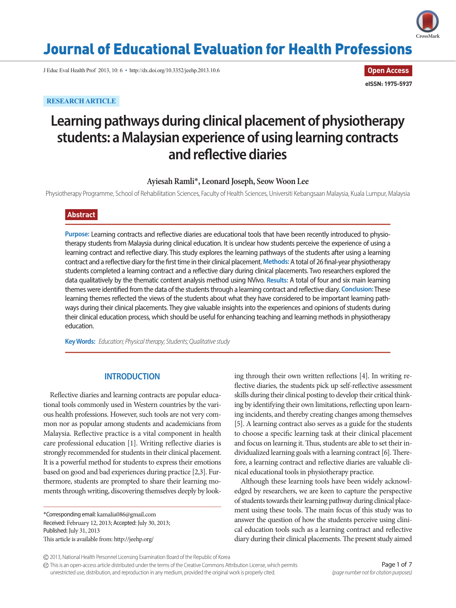

## Journal of Educational Evaluation for Health Professions

J Educ Eval Health Prof 2013, 10: 6 • http://dx.doi.org/10.3352/jeehp.2013.10.6

**RESEARCH ARTICLE**

**Open Access eISSN: 1975-5937**

# **Learning pathways during clinical placement of physiotherapy students: a Malaysian experience of using learning contracts and reflective diaries**

**Ayiesah Ramli**\***, Leonard Joseph, Seow Woon Lee** 

Physiotherapy Programme, School of Rehabilitation Sciences, Faculty of Health Sciences, Universiti Kebangsaan Malaysia, Kuala Lumpur, Malaysia

## **Abstract**

**Purpose:** Learning contracts and reflective diaries are educational tools that have been recently introduced to physiotherapy students from Malaysia during clinical education. It is unclear how students perceive the experience of using a learning contract and reflective diary. This study explores the learning pathways of the students after using a learning contract and a reflective diary for the first time in their clinical placement. **Methods:** A total of 26 final-year physiotherapy students completed a learning contract and a reflective diary during clinical placements. Two researchers explored the data qualitatively by the thematic content analysis method using NVivo. **Results:** A total of four and six main learning themes were identified from the data of the students through a learning contract and reflective diary. **Conclusion:** These learning themes reflected the views of the students about what they have considered to be important learning pathways during their clinical placements. They give valuable insights into the experiences and opinions of students during their clinical education process, which should be useful for enhancing teaching and learning methods in physiotherapy education.

**Key Words:** *Education; Physical therapy; Students; Qualitative study*

## **INTRODUCTION**

Reflective diaries and learning contracts are popular educational tools commonly used in Western countries by the various health professions. However, such tools are not very common nor as popular among students and academicians from Malaysia. Reflective practice is a vital component in health care professional education [1]. Writing reflective diaries is strongly recommended for students in their clinical placement. It is a powerful method for students to express their emotions based on good and bad experiences during practice [2,3]. Furthermore, students are prompted to share their learning moments through writing, discovering themselves deeply by look-

\*Corresponding email: kamalia086@gmail.com Received: February 12, 2013; Accepted: July 30, 2013; Published: July 31, 2013 This article is available from: http://jeehp.org/

ing through their own written reflections [4]. In writing reflective diaries, the students pick up self-reflective assessment skills during their clinical posting to develop their critical thinking by identifying their own limitations, reflecting upon learning incidents, and thereby creating changes among themselves [5]. A learning contract also serves as a guide for the students to choose a specific learning task at their clinical placement and focus on learning it. Thus, students are able to set their individualized learning goals with a learning contract [6]. Therefore, a learning contract and reflective diaries are valuable clinical educational tools in physiotherapy practice.

Although these learning tools have been widely acknowledged by researchers, we are keen to capture the perspective of students towards their learning pathway during clinical placement using these tools. The main focus of this study was to answer the question of how the students perceive using clinical education tools such as a learning contract and reflective diary during their clinical placements. The present study aimed

2013, National Health Personnel Licensing Examination Board of the Republic of Korea

This is an open-access article distributed under the terms of the Creative Commons Attribution License, which permits unrestricted use, distribution, and reproduction in any medium, provided the original work is properly cited.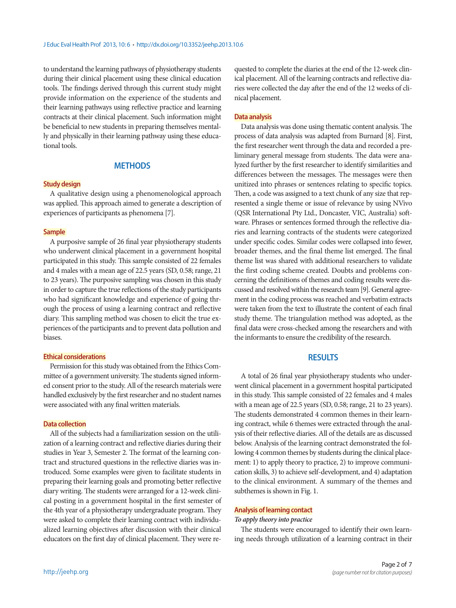to understand the learning pathways of physiotherapy students during their clinical placement using these clinical education tools. The findings derived through this current study might provide information on the experience of the students and their learning pathways using reflective practice and learning contracts at their clinical placement. Such information might be beneficial to new students in preparing themselves mentally and physically in their learning pathway using these educational tools.

## **METHODS**

#### **Study design**

A qualitative design using a phenomenological approach was applied. This approach aimed to generate a description of experiences of participants as phenomena [7].

#### **Sample**

A purposive sample of 26 final year physiotherapy students who underwent clinical placement in a government hospital participated in this study. This sample consisted of 22 females and 4 males with a mean age of 22.5 years (SD, 0.58; range, 21 to 23 years). The purposive sampling was chosen in this study in order to capture the true reflections of the study participants who had significant knowledge and experience of going through the process of using a learning contract and reflective diary. This sampling method was chosen to elicit the true experiences of the participants and to prevent data pollution and biases.

### **Ethical considerations**

Permission for this study was obtained from the Ethics Committee of a government university. The students signed informed consent prior to the study. All of the research materials were handled exclusively by the first researcher and no student names were associated with any final written materials.

#### **Data collection**

All of the subjects had a familiarization session on the utilization of a learning contract and reflective diaries during their studies in Year 3, Semester 2. The format of the learning contract and structured questions in the reflective diaries was introduced. Some examples were given to facilitate students in preparing their learning goals and promoting better reflective diary writing. The students were arranged for a 12-week clinical posting in a government hospital in the first semester of the 4th year of a physiotherapy undergraduate program. They were asked to complete their learning contract with individualized learning objectives after discussion with their clinical educators on the first day of clinical placement. They were re-

quested to complete the diaries at the end of the 12-week clinical placement. All of the learning contracts and reflective diaries were collected the day after the end of the 12 weeks of clinical placement.

#### **Data analysis**

Data analysis was done using thematic content analysis. The process of data analysis was adapted from Burnard [8]. First, the first researcher went through the data and recorded a preliminary general message from students. The data were analyzed further by the first researcher to identify similarities and differences between the messages. The messages were then unitized into phrases or sentences relating to specific topics. Then, a code was assigned to a text chunk of any size that represented a single theme or issue of relevance by using NVivo (QSR International Pty Ltd., Doncaster, VIC, Australia) software. Phrases or sentences formed through the reflective diaries and learning contracts of the students were categorized under specific codes. Similar codes were collapsed into fewer, broader themes, and the final theme list emerged. The final theme list was shared with additional researchers to validate the first coding scheme created. Doubts and problems concerning the definitions of themes and coding results were discussed and resolved within the research team [9]. General agreement in the coding process was reached and verbatim extracts were taken from the text to illustrate the content of each final study theme. The triangulation method was adopted, as the final data were cross-checked among the researchers and with the informants to ensure the credibility of the research.

## **RESULTS**

A total of 26 final year physiotherapy students who underwent clinical placement in a government hospital participated in this study. This sample consisted of 22 females and 4 males with a mean age of 22.5 years (SD, 0.58; range, 21 to 23 years). The students demonstrated 4 common themes in their learning contract, while 6 themes were extracted through the analysis of their reflective diaries. All of the details are as discussed below. Analysis of the learning contract demonstrated the following 4 common themes by students during the clinical placement: 1) to apply theory to practice, 2) to improve communication skills, 3) to achieve self-development, and 4) adaptation to the clinical environment. A summary of the themes and subthemes is shown in Fig. 1.

#### **Analysis of learning contact**

#### *To apply theory into practice*

The students were encouraged to identify their own learning needs through utilization of a learning contract in their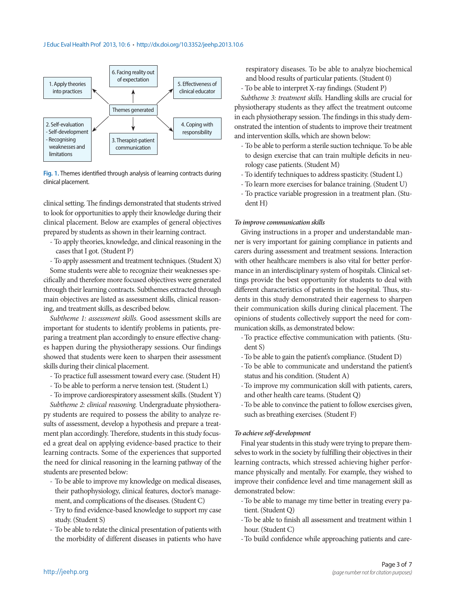

**Fig. 1.** Themes identified through analysis of learning contracts during clinical placement.

clinical setting. The findings demonstrated that students strived to look for opportunities to apply their knowledge during their clinical placement. Below are examples of general objectives prepared by students as shown in their learning contract.

- To apply theories, knowledge, and clinical reasoning in the cases that I got. (Student P)
- To apply assessment and treatment techniques. (Student X)

Some students were able to recognize their weaknesses specifically and therefore more focused objectives were generated through their learning contracts. Subthemes extracted through main objectives are listed as assessment skills, clinical reasoning, and treatment skills, as described below.

*Subtheme 1: assessment skills.* Good assessment skills are important for students to identify problems in patients, preparing a treatment plan accordingly to ensure effective changes happen during the physiotherapy sessions. Our findings showed that students were keen to sharpen their assessment skills during their clinical placement.

- To practice full assessment toward every case. (Student H)
- To be able to perform a nerve tension test. (Student L)
- To improve cardiorespiratory assessment skills. (Student Y)

*Subtheme 2: clinical reasoning.* Undergraduate physiotherapy students are required to possess the ability to analyze results of assessment, develop a hypothesis and prepare a treatment plan accordingly. Therefore, students in this study focused a great deal on applying evidence-based practice to their learning contracts. Some of the experiences that supported the need for clinical reasoning in the learning pathway of the students are presented below:

- To be able to improve my knowledge on medical diseases, their pathophysiology, clinical features, doctor's management, and complications of the diseases. (Student C)
- Try to find evidence-based knowledge to support my case study. (Student S)
- To be able to relate the clinical presentation of patients with the morbidity of different diseases in patients who have

respiratory diseases. To be able to analyze biochemical and blood results of particular patients. (Student 0)

- To be able to interpret X-ray findings. (Student P)

*Subtheme 3: treatment skills.* Handling skills are crucial for physiotherapy students as they affect the treatment outcome in each physiotherapy session. The findings in this study demonstrated the intention of students to improve their treatment and intervention skills, which are shown below:

- To be able to perform a sterile suction technique. To be able to design exercise that can train multiple deficits in neurology case patients. (Student M)
- To identify techniques to address spasticity. (Student L)
- To learn more exercises for balance training. (Student U)
- To practice variable progression in a treatment plan. (Student H)

#### *To improve communication skills*

Giving instructions in a proper and understandable manner is very important for gaining compliance in patients and carers during assessment and treatment sessions. Interaction with other healthcare members is also vital for better performance in an interdisciplinary system of hospitals. Clinical settings provide the best opportunity for students to deal with different characteristics of patients in the hospital. Thus, students in this study demonstrated their eagerness to sharpen their communication skills during clinical placement. The opinions of students collectively support the need for communication skills, as demonstrated below:

- To practice effective communication with patients. (Student S)
- To be able to gain the patient's compliance. (Student D)
- To be able to communicate and understand the patient's status and his condition. (Student A)
- To improve my communication skill with patients, carers, and other health care teams. (Student Q)
- To be able to convince the patient to follow exercises given, such as breathing exercises. (Student F)

#### *To achieve self-development*

Final year students in this study were trying to prepare themselves to work in the society by fulfilling their objectives in their learning contracts, which stressed achieving higher performance physically and mentally. For example, they wished to improve their confidence level and time management skill as demonstrated below:

- To be able to manage my time better in treating every patient. (Student Q)
- To be able to finish all assessment and treatment within 1 hour. (Student C)
- To build confidence while approaching patients and care-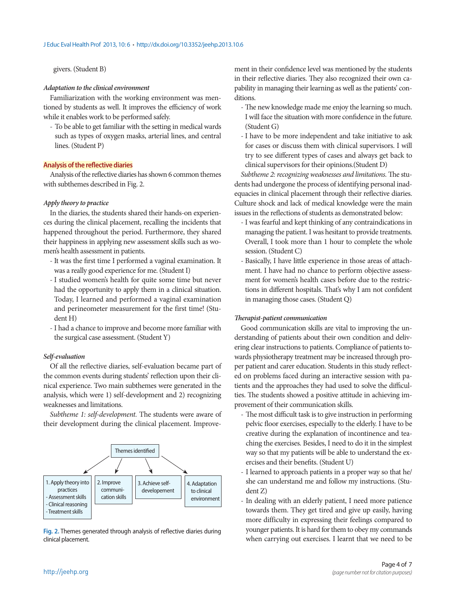### givers. (Student B)

#### *Adaptation to the clinical environment*

Familiarization with the working environment was mentioned by students as well. It improves the efficiency of work while it enables work to be performed safely.

- To be able to get familiar with the setting in medical wards such as types of oxygen masks, arterial lines, and central lines. (Student P)

#### **Analysis of the reflective diaries**

Analysis of the reflective diaries has shown 6 common themes with subthemes described in Fig. 2.

#### *Apply theory to practice*

In the diaries, the students shared their hands-on experiences during the clinical placement, recalling the incidents that happened throughout the period. Furthermore, they shared their happiness in applying new assessment skills such as women's health assessment in patients.

- It was the first time I performed a vaginal examination. It was a really good experience for me. (Student I)
- I studied women's health for quite some time but never had the opportunity to apply them in a clinical situation. Today, I learned and performed a vaginal examination and perineometer measurement for the first time! (Student H)
- I had a chance to improve and become more familiar with the surgical case assessment. (Student Y)

### *Self-evaluation*

Of all the reflective diaries, self-evaluation became part of the common events during students' reflection upon their clinical experience. Two main subthemes were generated in the analysis, which were 1) self-development and 2) recognizing weaknesses and limitations.

*Subtheme 1: self-development.* The students were aware of their development during the clinical placement. Improve-



**Fig. 2.** Themes generated through analysis of reflective diaries during clinical placement.

ment in their confidence level was mentioned by the students in their reflective diaries. They also recognized their own capability in managing their learning as well as the patients' conditions.

- The new knowledge made me enjoy the learning so much. I will face the situation with more confidence in the future. (Student G)
- I have to be more independent and take initiative to ask for cases or discuss them with clinical supervisors. I will try to see different types of cases and always get back to clinical supervisors for their opinions.(Student D)

*Subtheme 2: recognizing weaknesses and limitations.* The students had undergone the process of identifying personal inadequacies in clinical placement through their reflective diaries. Culture shock and lack of medical knowledge were the main issues in the reflections of students as demonstrated below:

- I was fearful and kept thinking of any contraindications in managing the patient. I was hesitant to provide treatments. Overall, I took more than 1 hour to complete the whole session. (Student C)
- Basically, I have little experience in those areas of attachment. I have had no chance to perform objective assessment for women's health cases before due to the restrictions in different hospitals. That's why I am not confident in managing those cases. (Student Q)

#### *Therapist-patient communication*

Good communication skills are vital to improving the understanding of patients about their own condition and delivering clear instructions to patients. Compliance of patients towards physiotherapy treatment may be increased through proper patient and carer education. Students in this study reflected on problems faced during an interactive session with patients and the approaches they had used to solve the difficulties. The students showed a positive attitude in achieving improvement of their communication skills.

- The most difficult task is to give instruction in performing pelvic floor exercises, especially to the elderly. I have to be creative during the explanation of incontinence and teaching the exercises. Besides, I need to do it in the simplest way so that my patients will be able to understand the exercises and their benefits. (Student U)
- I learned to approach patients in a proper way so that he/ she can understand me and follow my instructions. (Student Z)
- In dealing with an elderly patient, I need more patience towards them. They get tired and give up easily, having more difficulty in expressing their feelings compared to younger patients. It is hard for them to obey my commands when carrying out exercises. I learnt that we need to be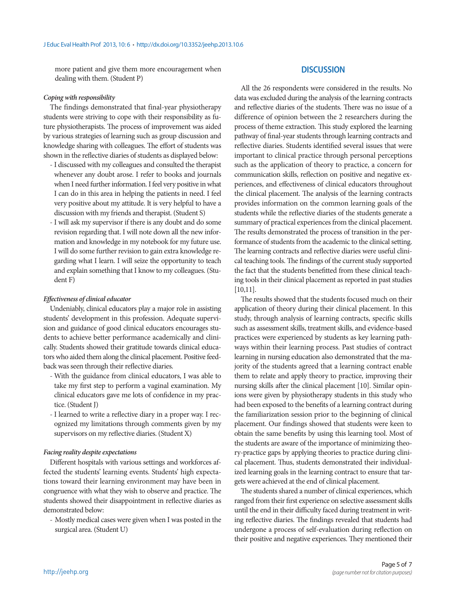more patient and give them more encouragement when dealing with them. (Student P)

#### *Coping with responsibility*

The findings demonstrated that final-year physiotherapy students were striving to cope with their responsibility as future physiotherapists. The process of improvement was aided by various strategies of learning such as group discussion and knowledge sharing with colleagues. The effort of students was shown in the reflective diaries of students as displayed below:

- I discussed with my colleagues and consulted the therapist whenever any doubt arose. I refer to books and journals when I need further information. I feel very positive in what I can do in this area in helping the patients in need. I feel very positive about my attitude. It is very helpful to have a discussion with my friends and therapist. (Student S)
- I will ask my supervisor if there is any doubt and do some revision regarding that. I will note down all the new information and knowledge in my notebook for my future use. I will do some further revision to gain extra knowledge regarding what I learn. I will seize the opportunity to teach and explain something that I know to my colleagues. (Student F)

#### *Effectiveness of clinical educator*

Undeniably, clinical educators play a major role in assisting students' development in this profession. Adequate supervision and guidance of good clinical educators encourages students to achieve better performance academically and clinically. Students showed their gratitude towards clinical educators who aided them along the clinical placement. Positive feedback was seen through their reflective diaries.

- With the guidance from clinical educators, I was able to take my first step to perform a vaginal examination. My clinical educators gave me lots of confidence in my practice. (Student J)
- I learned to write a reflective diary in a proper way. I recognized my limitations through comments given by my supervisors on my reflective diaries. (Student X)

## *Facing reality despite expectations*

Different hospitals with various settings and workforces affected the students' learning events. Students' high expectations toward their learning environment may have been in congruence with what they wish to observe and practice. The students showed their disappointment in reflective diaries as demonstrated below:

- Mostly medical cases were given when I was posted in the surgical area. (Student U)

## **DISCUSSION**

All the 26 respondents were considered in the results. No data was excluded during the analysis of the learning contracts and reflective diaries of the students. There was no issue of a difference of opinion between the 2 researchers during the process of theme extraction. This study explored the learning pathway of final-year students through learning contracts and reflective diaries. Students identified several issues that were important to clinical practice through personal perceptions such as the application of theory to practice, a concern for communication skills, reflection on positive and negative experiences, and effectiveness of clinical educators throughout the clinical placement. The analysis of the learning contracts provides information on the common learning goals of the students while the reflective diaries of the students generate a summary of practical experiences from the clinical placement. The results demonstrated the process of transition in the performance of students from the academic to the clinical setting. The learning contracts and reflective diaries were useful clinical teaching tools. The findings of the current study supported the fact that the students benefitted from these clinical teaching tools in their clinical placement as reported in past studies [10,11].

The results showed that the students focused much on their application of theory during their clinical placement. In this study, through analysis of learning contracts, specific skills such as assessment skills, treatment skills, and evidence-based practices were experienced by students as key learning pathways within their learning process. Past studies of contract learning in nursing education also demonstrated that the majority of the students agreed that a learning contract enable them to relate and apply theory to practice, improving their nursing skills after the clinical placement [10]. Similar opinions were given by physiotherapy students in this study who had been exposed to the benefits of a learning contract during the familiarization session prior to the beginning of clinical placement. Our findings showed that students were keen to obtain the same benefits by using this learning tool. Most of the students are aware of the importance of minimizing theory-practice gaps by applying theories to practice during clinical placement. Thus, students demonstrated their individualized learning goals in the learning contract to ensure that targets were achieved at the end of clinical placement.

The students shared a number of clinical experiences, which ranged from their first experience on selective assessment skills until the end in their difficulty faced during treatment in writing reflective diaries. The findings revealed that students had undergone a process of self-evaluation during reflection on their positive and negative experiences. They mentioned their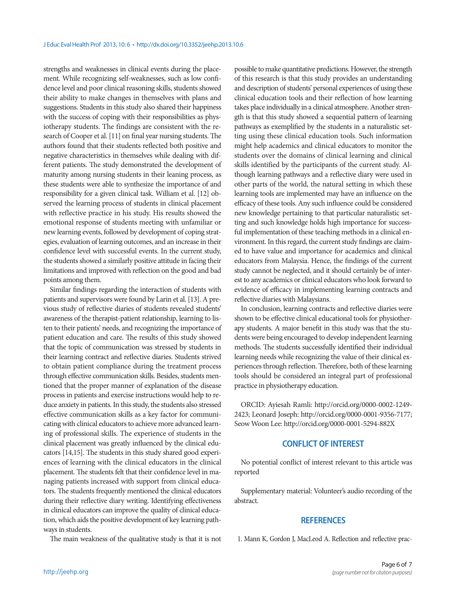strengths and weaknesses in clinical events during the placement. While recognizing self-weaknesses, such as low confidence level and poor clinical reasoning skills, students showed their ability to make changes in themselves with plans and suggestions. Students in this study also shared their happiness with the success of coping with their responsibilities as physiotherapy students. The findings are consistent with the research of Cooper et al. [11] on final year nursing students. The authors found that their students reflected both positive and negative characteristics in themselves while dealing with different patients. The study demonstrated the development of maturity among nursing students in their leaning process, as these students were able to synthesize the importance of and responsibility for a given clinical task. William et al. [12] observed the learning process of students in clinical placement with reflective practice in his study. His results showed the emotional response of students meeting with unfamiliar or new learning events, followed by development of coping strategies, evaluation of learning outcomes, and an increase in their confidence level with successful events. In the current study, the students showed a similarly positive attitude in facing their limitations and improved with reflection on the good and bad points among them.

Similar findings regarding the interaction of students with patients and supervisors were found by Larin et al. [13]. A previous study of reflective diaries of students revealed students' awareness of the therapist-patient relationship, learning to listen to their patients' needs, and recognizing the importance of patient education and care. The results of this study showed that the topic of communication was stressed by students in their learning contract and reflective diaries. Students strived to obtain patient compliance during the treatment process through effective communication skills. Besides, students mentioned that the proper manner of explanation of the disease process in patients and exercise instructions would help to reduce anxiety in patients. In this study, the students also stressed effective communication skills as a key factor for communicating with clinical educators to achieve more advanced learning of professional skills. The experience of students in the clinical placement was greatly influenced by the clinical educators [14,15]. The students in this study shared good experiences of learning with the clinical educators in the clinical placement. The students felt that their confidence level in managing patients increased with support from clinical educators. The students frequently mentioned the clinical educators during their reflective diary writing. Identifying effectiveness in clinical educators can improve the quality of clinical education, which aids the positive development of key learning pathways in students.

The main weakness of the qualitative study is that it is not

possible to make quantitative predictions. However, the strength of this research is that this study provides an understanding and description of students' personal experiences of using these clinical education tools and their reflection of how learning takes place individually in a clinical atmosphere. Another strength is that this study showed a sequential pattern of learning pathways as exemplified by the students in a naturalistic setting using these clinical education tools. Such information might help academics and clinical educators to monitor the students over the domains of clinical learning and clinical skills identified by the participants of the current study. Although learning pathways and a reflective diary were used in other parts of the world, the natural setting in which these learning tools are implemented may have an influence on the efficacy of these tools. Any such influence could be considered new knowledge pertaining to that particular naturalistic setting and such knowledge holds high importance for successful implementation of these teaching methods in a clinical environment. In this regard, the current study findings are claimed to have value and importance for academics and clinical educators from Malaysia. Hence, the findings of the current study cannot be neglected, and it should certainly be of interest to any academics or clinical educators who look forward to evidence of efficacy in implementing learning contracts and reflective diaries with Malaysians.

In conclusion, learning contracts and reflective diaries were shown to be effective clinical educational tools for physiotherapy students. A major benefit in this study was that the students were being encouraged to develop independent learning methods. The students successfully identified their individual learning needs while recognizing the value of their clinical experiences through reflection. Therefore, both of these learning tools should be considered an integral part of professional practice in physiotherapy education.

ORCID: Ayiesah Ramli: http://orcid.org/0000-0002-1249-2423; Leonard Joseph: http://orcid.org/0000-0001-9356-7177; Seow Woon Lee: http://orcid.org/0000-0001-5294-882X

### **CONFLICT OF INTEREST**

No potential conflict of interest relevant to this article was reported

Supplementary material: Volunteer's audio recording of the abstract.

### **REFERENCES**

1. Mann K, Gordon J, MacLeod A. Reflection and reflective prac-